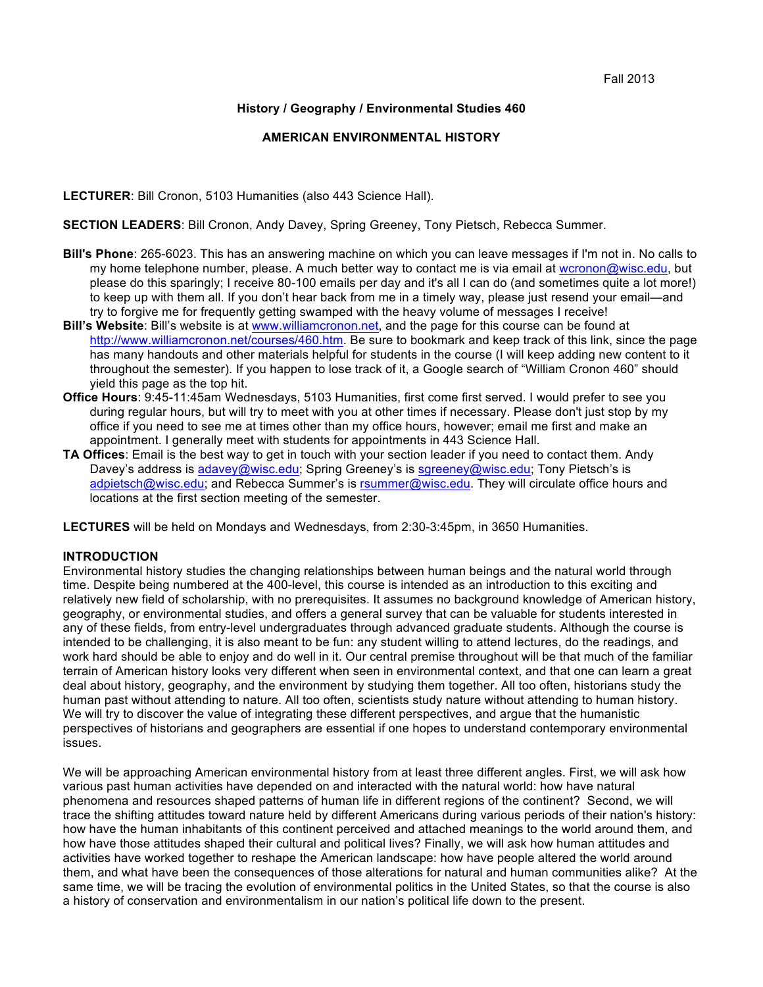### **History / Geography / Environmental Studies 460**

### **AMERICAN ENVIRONMENTAL HISTORY**

**LECTURER**: Bill Cronon, 5103 Humanities (also 443 Science Hall).

**SECTION LEADERS**: Bill Cronon, Andy Davey, Spring Greeney, Tony Pietsch, Rebecca Summer.

- **Bill's Phone**: 265-6023. This has an answering machine on which you can leave messages if I'm not in. No calls to my home telephone number, please. A much better way to contact me is via email at wcronon@wisc.edu, but please do this sparingly; I receive 80-100 emails per day and it's all I can do (and sometimes quite a lot more!) to keep up with them all. If you don't hear back from me in a timely way, please just resend your email—and try to forgive me for frequently getting swamped with the heavy volume of messages I receive!
- **Bill's Website**: Bill's website is at www.williamcronon.net, and the page for this course can be found at http://www.williamcronon.net/courses/460.htm. Be sure to bookmark and keep track of this link, since the page has many handouts and other materials helpful for students in the course (I will keep adding new content to it throughout the semester). If you happen to lose track of it, a Google search of "William Cronon 460" should yield this page as the top hit.
- **Office Hours**: 9:45-11:45am Wednesdays, 5103 Humanities, first come first served. I would prefer to see you during regular hours, but will try to meet with you at other times if necessary. Please don't just stop by my office if you need to see me at times other than my office hours, however; email me first and make an appointment. I generally meet with students for appointments in 443 Science Hall.
- **TA Offices**: Email is the best way to get in touch with your section leader if you need to contact them. Andy Davey's address is adavey@wisc.edu; Spring Greeney's is sgreeney@wisc.edu; Tony Pietsch's is adpietsch@wisc.edu; and Rebecca Summer's is rsummer@wisc.edu. They will circulate office hours and locations at the first section meeting of the semester.

**LECTURES** will be held on Mondays and Wednesdays, from 2:30-3:45pm, in 3650 Humanities.

### **INTRODUCTION**

Environmental history studies the changing relationships between human beings and the natural world through time. Despite being numbered at the 400-level, this course is intended as an introduction to this exciting and relatively new field of scholarship, with no prerequisites. It assumes no background knowledge of American history, geography, or environmental studies, and offers a general survey that can be valuable for students interested in any of these fields, from entry-level undergraduates through advanced graduate students. Although the course is intended to be challenging, it is also meant to be fun: any student willing to attend lectures, do the readings, and work hard should be able to enjoy and do well in it. Our central premise throughout will be that much of the familiar terrain of American history looks very different when seen in environmental context, and that one can learn a great deal about history, geography, and the environment by studying them together. All too often, historians study the human past without attending to nature. All too often, scientists study nature without attending to human history. We will try to discover the value of integrating these different perspectives, and argue that the humanistic perspectives of historians and geographers are essential if one hopes to understand contemporary environmental issues.

We will be approaching American environmental history from at least three different angles. First, we will ask how various past human activities have depended on and interacted with the natural world: how have natural phenomena and resources shaped patterns of human life in different regions of the continent? Second, we will trace the shifting attitudes toward nature held by different Americans during various periods of their nation's history: how have the human inhabitants of this continent perceived and attached meanings to the world around them, and how have those attitudes shaped their cultural and political lives? Finally, we will ask how human attitudes and activities have worked together to reshape the American landscape: how have people altered the world around them, and what have been the consequences of those alterations for natural and human communities alike? At the same time, we will be tracing the evolution of environmental politics in the United States, so that the course is also a history of conservation and environmentalism in our nation's political life down to the present.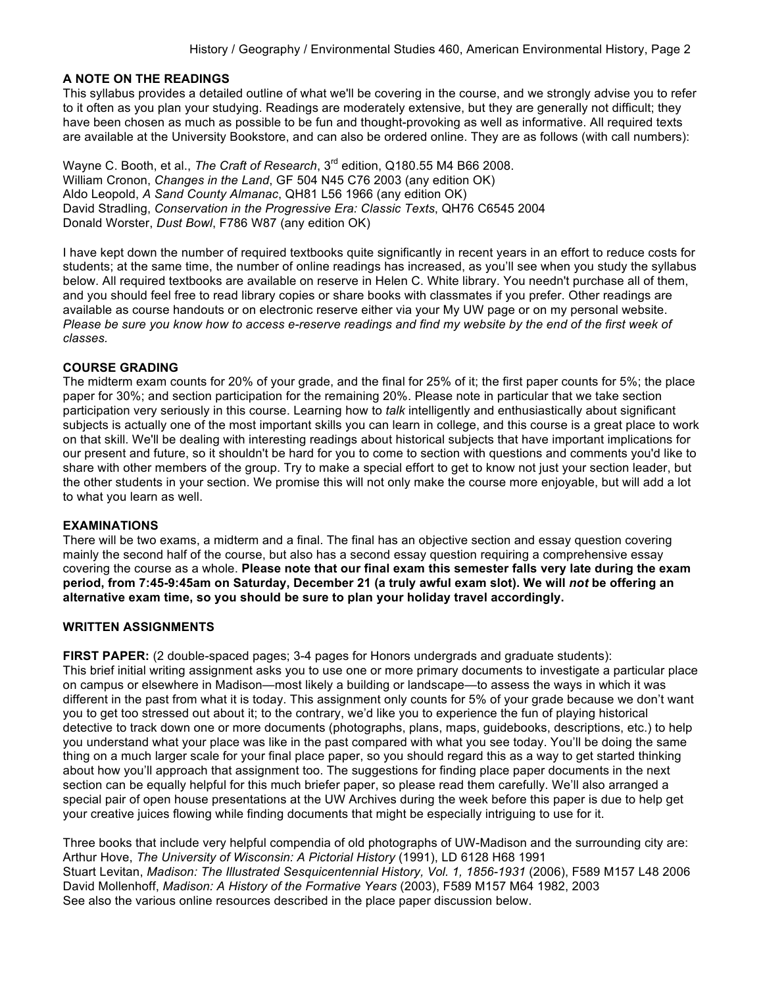### **A NOTE ON THE READINGS**

This syllabus provides a detailed outline of what we'll be covering in the course, and we strongly advise you to refer to it often as you plan your studying. Readings are moderately extensive, but they are generally not difficult; they have been chosen as much as possible to be fun and thought-provoking as well as informative. All required texts are available at the University Bookstore, and can also be ordered online. They are as follows (with call numbers):

Wayne C. Booth, et al., *The Craft of Research*, 3rd edition, Q180.55 M4 B66 2008. William Cronon, *Changes in the Land*, GF 504 N45 C76 2003 (any edition OK) Aldo Leopold, *A Sand County Almanac*, QH81 L56 1966 (any edition OK) David Stradling, *Conservation in the Progressive Era: Classic Texts*, QH76 C6545 2004 Donald Worster, *Dust Bowl*, F786 W87 (any edition OK)

I have kept down the number of required textbooks quite significantly in recent years in an effort to reduce costs for students; at the same time, the number of online readings has increased, as you'll see when you study the syllabus below. All required textbooks are available on reserve in Helen C. White library. You needn't purchase all of them, and you should feel free to read library copies or share books with classmates if you prefer. Other readings are available as course handouts or on electronic reserve either via your My UW page or on my personal website. *Please be sure you know how to access e-reserve readings and find my website by the end of the first week of classes.*

### **COURSE GRADING**

The midterm exam counts for 20% of your grade, and the final for 25% of it; the first paper counts for 5%; the place paper for 30%; and section participation for the remaining 20%. Please note in particular that we take section participation very seriously in this course. Learning how to *talk* intelligently and enthusiastically about significant subjects is actually one of the most important skills you can learn in college, and this course is a great place to work on that skill. We'll be dealing with interesting readings about historical subjects that have important implications for our present and future, so it shouldn't be hard for you to come to section with questions and comments you'd like to share with other members of the group. Try to make a special effort to get to know not just your section leader, but the other students in your section. We promise this will not only make the course more enjoyable, but will add a lot to what you learn as well.

### **EXAMINATIONS**

There will be two exams, a midterm and a final. The final has an objective section and essay question covering mainly the second half of the course, but also has a second essay question requiring a comprehensive essay covering the course as a whole. **Please note that our final exam this semester falls very late during the exam period, from 7:45-9:45am on Saturday, December 21 (a truly awful exam slot). We will** *not* **be offering an alternative exam time, so you should be sure to plan your holiday travel accordingly.**

### **WRITTEN ASSIGNMENTS**

**FIRST PAPER:** (2 double-spaced pages; 3-4 pages for Honors undergrads and graduate students): This brief initial writing assignment asks you to use one or more primary documents to investigate a particular place on campus or elsewhere in Madison—most likely a building or landscape—to assess the ways in which it was different in the past from what it is today. This assignment only counts for 5% of your grade because we don't want you to get too stressed out about it; to the contrary, we'd like you to experience the fun of playing historical detective to track down one or more documents (photographs, plans, maps, guidebooks, descriptions, etc.) to help you understand what your place was like in the past compared with what you see today. You'll be doing the same thing on a much larger scale for your final place paper, so you should regard this as a way to get started thinking about how you'll approach that assignment too. The suggestions for finding place paper documents in the next section can be equally helpful for this much briefer paper, so please read them carefully. We'll also arranged a special pair of open house presentations at the UW Archives during the week before this paper is due to help get your creative juices flowing while finding documents that might be especially intriguing to use for it.

Three books that include very helpful compendia of old photographs of UW-Madison and the surrounding city are: Arthur Hove, *The University of Wisconsin: A Pictorial History* (1991), LD 6128 H68 1991 Stuart Levitan, *Madison: The Illustrated Sesquicentennial History, Vol. 1, 1856-1931* (2006), F589 M157 L48 2006 David Mollenhoff, *Madison: A History of the Formative Years* (2003), F589 M157 M64 1982, 2003 See also the various online resources described in the place paper discussion below.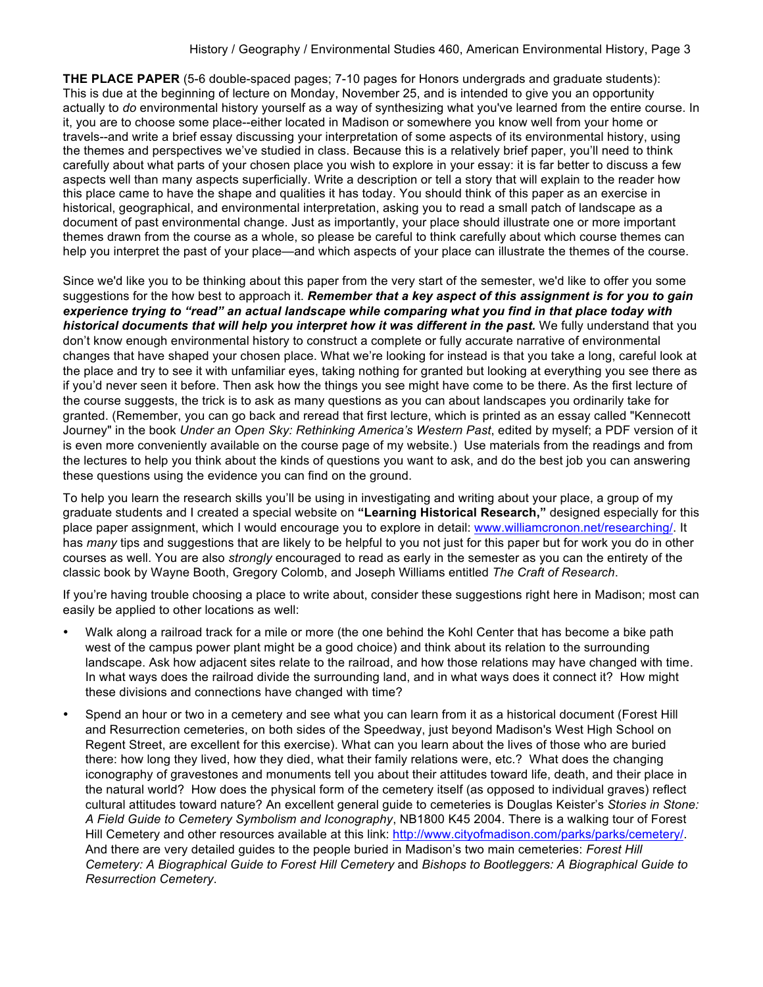**THE PLACE PAPER** (5-6 double-spaced pages: 7-10 pages for Honors undergrads and graduate students): This is due at the beginning of lecture on Monday, November 25, and is intended to give you an opportunity actually to *do* environmental history yourself as a way of synthesizing what you've learned from the entire course. In it, you are to choose some place--either located in Madison or somewhere you know well from your home or travels--and write a brief essay discussing your interpretation of some aspects of its environmental history, using the themes and perspectives we've studied in class. Because this is a relatively brief paper, you'll need to think carefully about what parts of your chosen place you wish to explore in your essay: it is far better to discuss a few aspects well than many aspects superficially. Write a description or tell a story that will explain to the reader how this place came to have the shape and qualities it has today. You should think of this paper as an exercise in historical, geographical, and environmental interpretation, asking you to read a small patch of landscape as a document of past environmental change. Just as importantly, your place should illustrate one or more important themes drawn from the course as a whole, so please be careful to think carefully about which course themes can help you interpret the past of your place—and which aspects of your place can illustrate the themes of the course.

Since we'd like you to be thinking about this paper from the very start of the semester, we'd like to offer you some suggestions for the how best to approach it. *Remember that a key aspect of this assignment is for you to gain experience trying to "read" an actual landscape while comparing what you find in that place today with historical documents that will help you interpret how it was different in the past.* We fully understand that you don't know enough environmental history to construct a complete or fully accurate narrative of environmental changes that have shaped your chosen place. What we're looking for instead is that you take a long, careful look at the place and try to see it with unfamiliar eyes, taking nothing for granted but looking at everything you see there as if you'd never seen it before. Then ask how the things you see might have come to be there. As the first lecture of the course suggests, the trick is to ask as many questions as you can about landscapes you ordinarily take for granted. (Remember, you can go back and reread that first lecture, which is printed as an essay called "Kennecott Journey" in the book *Under an Open Sky: Rethinking America's Western Past*, edited by myself; a PDF version of it is even more conveniently available on the course page of my website.) Use materials from the readings and from the lectures to help you think about the kinds of questions you want to ask, and do the best job you can answering these questions using the evidence you can find on the ground.

To help you learn the research skills you'll be using in investigating and writing about your place, a group of my graduate students and I created a special website on **"Learning Historical Research,"** designed especially for this place paper assignment, which I would encourage you to explore in detail: www.williamcronon.net/researching/. It has *many* tips and suggestions that are likely to be helpful to you not just for this paper but for work you do in other courses as well. You are also *strongly* encouraged to read as early in the semester as you can the entirety of the classic book by Wayne Booth, Gregory Colomb, and Joseph Williams entitled *The Craft of Research*.

If you're having trouble choosing a place to write about, consider these suggestions right here in Madison; most can easily be applied to other locations as well:

- Walk along a railroad track for a mile or more (the one behind the Kohl Center that has become a bike path west of the campus power plant might be a good choice) and think about its relation to the surrounding landscape. Ask how adjacent sites relate to the railroad, and how those relations may have changed with time. In what ways does the railroad divide the surrounding land, and in what ways does it connect it? How might these divisions and connections have changed with time?
- Spend an hour or two in a cemetery and see what you can learn from it as a historical document (Forest Hill and Resurrection cemeteries, on both sides of the Speedway, just beyond Madison's West High School on Regent Street, are excellent for this exercise). What can you learn about the lives of those who are buried there: how long they lived, how they died, what their family relations were, etc.? What does the changing iconography of gravestones and monuments tell you about their attitudes toward life, death, and their place in the natural world? How does the physical form of the cemetery itself (as opposed to individual graves) reflect cultural attitudes toward nature? An excellent general guide to cemeteries is Douglas Keister's *Stories in Stone: A Field Guide to Cemetery Symbolism and Iconography*, NB1800 K45 2004. There is a walking tour of Forest Hill Cemetery and other resources available at this link: http://www.cityofmadison.com/parks/parks/cemetery/. And there are very detailed guides to the people buried in Madison's two main cemeteries: *Forest Hill Cemetery: A Biographical Guide to Forest Hill Cemetery* and *Bishops to Bootleggers: A Biographical Guide to Resurrection Cemetery*.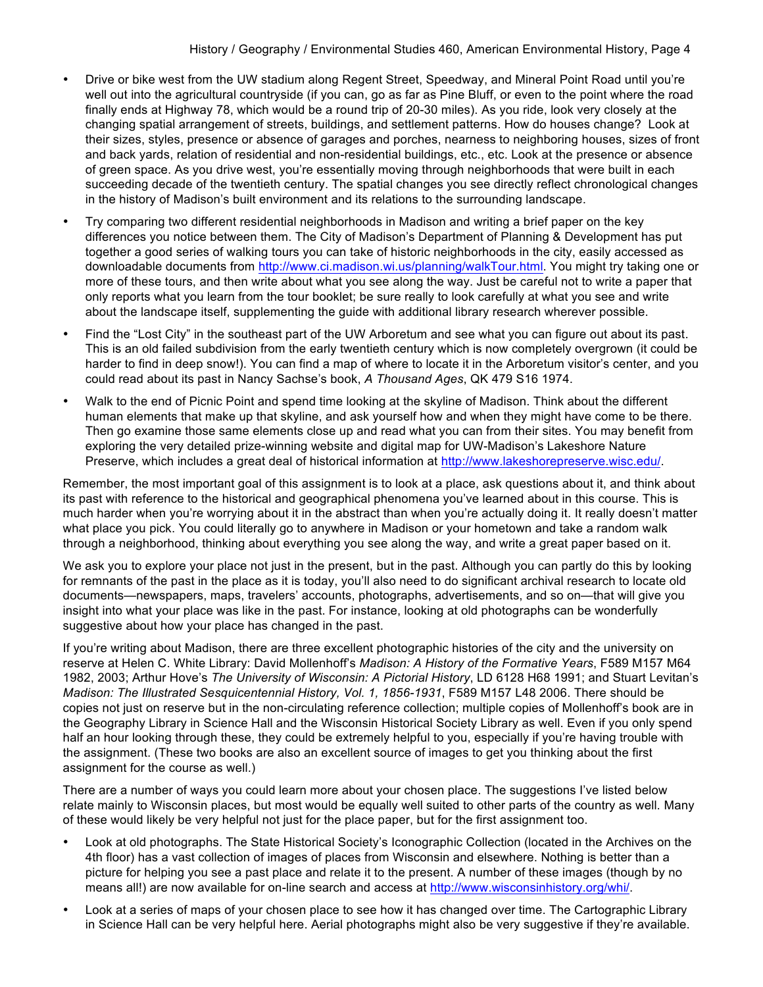- Drive or bike west from the UW stadium along Regent Street, Speedway, and Mineral Point Road until you're well out into the agricultural countryside (if you can, go as far as Pine Bluff, or even to the point where the road finally ends at Highway 78, which would be a round trip of 20-30 miles). As you ride, look very closely at the changing spatial arrangement of streets, buildings, and settlement patterns. How do houses change? Look at their sizes, styles, presence or absence of garages and porches, nearness to neighboring houses, sizes of front and back yards, relation of residential and non-residential buildings, etc., etc. Look at the presence or absence of green space. As you drive west, you're essentially moving through neighborhoods that were built in each succeeding decade of the twentieth century. The spatial changes you see directly reflect chronological changes in the history of Madison's built environment and its relations to the surrounding landscape.
- Try comparing two different residential neighborhoods in Madison and writing a brief paper on the key differences you notice between them. The City of Madison's Department of Planning & Development has put together a good series of walking tours you can take of historic neighborhoods in the city, easily accessed as downloadable documents from http://www.ci.madison.wi.us/planning/walkTour.html. You might try taking one or more of these tours, and then write about what you see along the way. Just be careful not to write a paper that only reports what you learn from the tour booklet; be sure really to look carefully at what you see and write about the landscape itself, supplementing the guide with additional library research wherever possible.
- Find the "Lost City" in the southeast part of the UW Arboretum and see what you can figure out about its past. This is an old failed subdivision from the early twentieth century which is now completely overgrown (it could be harder to find in deep snow!). You can find a map of where to locate it in the Arboretum visitor's center, and you could read about its past in Nancy Sachse's book, *A Thousand Ages*, QK 479 S16 1974.
- Walk to the end of Picnic Point and spend time looking at the skyline of Madison. Think about the different human elements that make up that skyline, and ask yourself how and when they might have come to be there. Then go examine those same elements close up and read what you can from their sites. You may benefit from exploring the very detailed prize-winning website and digital map for UW-Madison's Lakeshore Nature Preserve, which includes a great deal of historical information at http://www.lakeshorepreserve.wisc.edu/.

Remember, the most important goal of this assignment is to look at a place, ask questions about it, and think about its past with reference to the historical and geographical phenomena you've learned about in this course. This is much harder when you're worrying about it in the abstract than when you're actually doing it. It really doesn't matter what place you pick. You could literally go to anywhere in Madison or your hometown and take a random walk through a neighborhood, thinking about everything you see along the way, and write a great paper based on it.

We ask you to explore your place not just in the present, but in the past. Although you can partly do this by looking for remnants of the past in the place as it is today, you'll also need to do significant archival research to locate old documents—newspapers, maps, travelers' accounts, photographs, advertisements, and so on—that will give you insight into what your place was like in the past. For instance, looking at old photographs can be wonderfully suggestive about how your place has changed in the past.

If you're writing about Madison, there are three excellent photographic histories of the city and the university on reserve at Helen C. White Library: David Mollenhoff's *Madison: A History of the Formative Years*, F589 M157 M64 1982, 2003; Arthur Hove's *The University of Wisconsin: A Pictorial History*, LD 6128 H68 1991; and Stuart Levitan's *Madison: The Illustrated Sesquicentennial History, Vol. 1, 1856-1931*, F589 M157 L48 2006. There should be copies not just on reserve but in the non-circulating reference collection; multiple copies of Mollenhoff's book are in the Geography Library in Science Hall and the Wisconsin Historical Society Library as well. Even if you only spend half an hour looking through these, they could be extremely helpful to you, especially if you're having trouble with the assignment. (These two books are also an excellent source of images to get you thinking about the first assignment for the course as well.)

There are a number of ways you could learn more about your chosen place. The suggestions I've listed below relate mainly to Wisconsin places, but most would be equally well suited to other parts of the country as well. Many of these would likely be very helpful not just for the place paper, but for the first assignment too.

- Look at old photographs. The State Historical Society's Iconographic Collection (located in the Archives on the 4th floor) has a vast collection of images of places from Wisconsin and elsewhere. Nothing is better than a picture for helping you see a past place and relate it to the present. A number of these images (though by no means all!) are now available for on-line search and access at http://www.wisconsinhistory.org/whi/.
- Look at a series of maps of your chosen place to see how it has changed over time. The Cartographic Library in Science Hall can be very helpful here. Aerial photographs might also be very suggestive if they're available.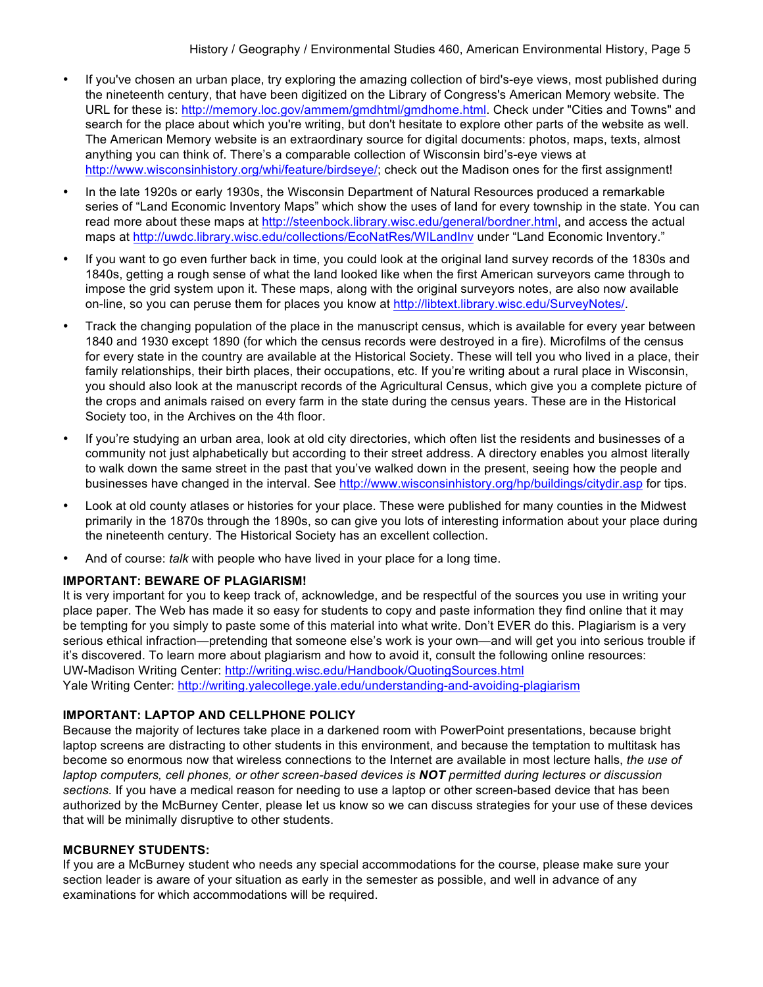- If you've chosen an urban place, try exploring the amazing collection of bird's-eye views, most published during the nineteenth century, that have been digitized on the Library of Congress's American Memory website. The URL for these is: http://memory.loc.gov/ammem/gmdhtml/gmdhome.html. Check under "Cities and Towns" and search for the place about which you're writing, but don't hesitate to explore other parts of the website as well. The American Memory website is an extraordinary source for digital documents: photos, maps, texts, almost anything you can think of. There's a comparable collection of Wisconsin bird's-eye views at http://www.wisconsinhistory.org/whi/feature/birdseye/; check out the Madison ones for the first assignment!
- In the late 1920s or early 1930s, the Wisconsin Department of Natural Resources produced a remarkable series of "Land Economic Inventory Maps" which show the uses of land for every township in the state. You can read more about these maps at http://steenbock.library.wisc.edu/general/bordner.html, and access the actual maps at http://uwdc.library.wisc.edu/collections/EcoNatRes/WILandInv under "Land Economic Inventory."
- If you want to go even further back in time, you could look at the original land survey records of the 1830s and 1840s, getting a rough sense of what the land looked like when the first American surveyors came through to impose the grid system upon it. These maps, along with the original surveyors notes, are also now available on-line, so you can peruse them for places you know at http://libtext.library.wisc.edu/SurveyNotes/.
- Track the changing population of the place in the manuscript census, which is available for every year between 1840 and 1930 except 1890 (for which the census records were destroyed in a fire). Microfilms of the census for every state in the country are available at the Historical Society. These will tell you who lived in a place, their family relationships, their birth places, their occupations, etc. If you're writing about a rural place in Wisconsin, you should also look at the manuscript records of the Agricultural Census, which give you a complete picture of the crops and animals raised on every farm in the state during the census years. These are in the Historical Society too, in the Archives on the 4th floor.
- If you're studying an urban area, look at old city directories, which often list the residents and businesses of a community not just alphabetically but according to their street address. A directory enables you almost literally to walk down the same street in the past that you've walked down in the present, seeing how the people and businesses have changed in the interval. See http://www.wisconsinhistory.org/hp/buildings/citydir.asp for tips.
- Look at old county atlases or histories for your place. These were published for many counties in the Midwest primarily in the 1870s through the 1890s, so can give you lots of interesting information about your place during the nineteenth century. The Historical Society has an excellent collection.
- And of course: *talk* with people who have lived in your place for a long time.

## **IMPORTANT: BEWARE OF PLAGIARISM!**

It is very important for you to keep track of, acknowledge, and be respectful of the sources you use in writing your place paper. The Web has made it so easy for students to copy and paste information they find online that it may be tempting for you simply to paste some of this material into what write. Don't EVER do this. Plagiarism is a very serious ethical infraction—pretending that someone else's work is your own—and will get you into serious trouble if it's discovered. To learn more about plagiarism and how to avoid it, consult the following online resources: UW-Madison Writing Center: http://writing.wisc.edu/Handbook/QuotingSources.html Yale Writing Center: http://writing.yalecollege.yale.edu/understanding-and-avoiding-plagiarism

# **IMPORTANT: LAPTOP AND CELLPHONE POLICY**

Because the majority of lectures take place in a darkened room with PowerPoint presentations, because bright laptop screens are distracting to other students in this environment, and because the temptation to multitask has become so enormous now that wireless connections to the Internet are available in most lecture halls, *the use of laptop computers, cell phones, or other screen-based devices is NOT permitted during lectures or discussion sections.* If you have a medical reason for needing to use a laptop or other screen-based device that has been authorized by the McBurney Center, please let us know so we can discuss strategies for your use of these devices that will be minimally disruptive to other students.

## **MCBURNEY STUDENTS:**

If you are a McBurney student who needs any special accommodations for the course, please make sure your section leader is aware of your situation as early in the semester as possible, and well in advance of any examinations for which accommodations will be required.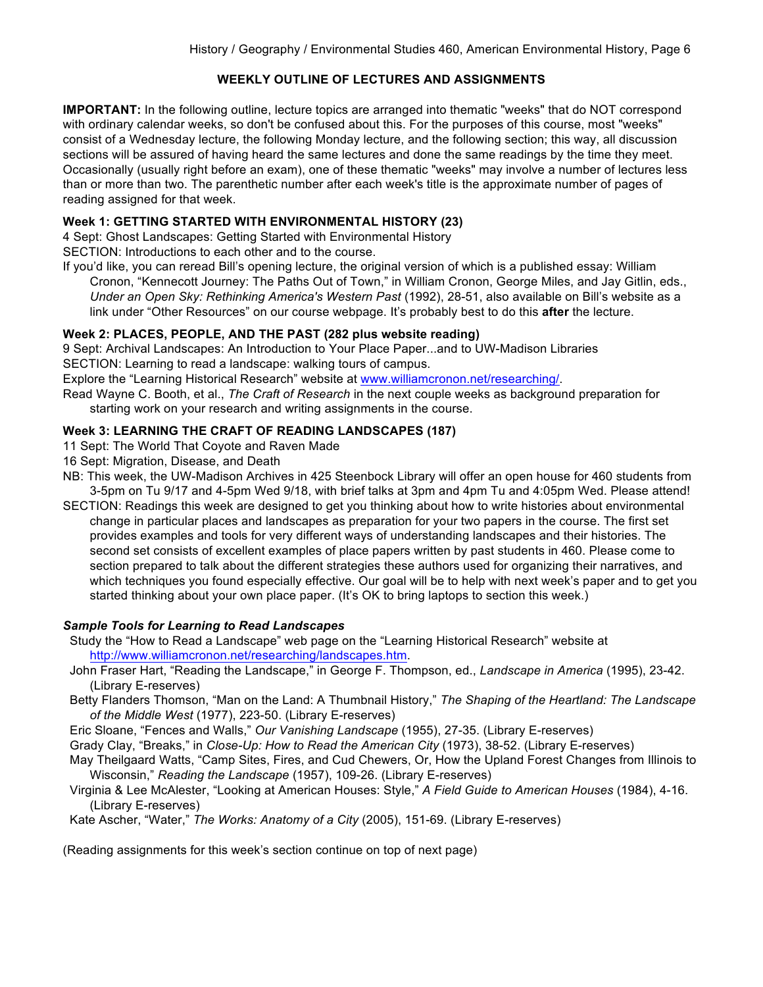# **WEEKLY OUTLINE OF LECTURES AND ASSIGNMENTS**

**IMPORTANT:** In the following outline, lecture topics are arranged into thematic "weeks" that do NOT correspond with ordinary calendar weeks, so don't be confused about this. For the purposes of this course, most "weeks" consist of a Wednesday lecture, the following Monday lecture, and the following section; this way, all discussion sections will be assured of having heard the same lectures and done the same readings by the time they meet. Occasionally (usually right before an exam), one of these thematic "weeks" may involve a number of lectures less than or more than two. The parenthetic number after each week's title is the approximate number of pages of reading assigned for that week.

# **Week 1: GETTING STARTED WITH ENVIRONMENTAL HISTORY (23)**

4 Sept: Ghost Landscapes: Getting Started with Environmental History

SECTION: Introductions to each other and to the course.

If you'd like, you can reread Bill's opening lecture, the original version of which is a published essay: William Cronon, "Kennecott Journey: The Paths Out of Town," in William Cronon, George Miles, and Jay Gitlin, eds., *Under an Open Sky: Rethinking America's Western Past* (1992), 28-51, also available on Bill's website as a link under "Other Resources" on our course webpage. It's probably best to do this **after** the lecture.

## **Week 2: PLACES, PEOPLE, AND THE PAST (282 plus website reading)**

9 Sept: Archival Landscapes: An Introduction to Your Place Paper...and to UW-Madison Libraries SECTION: Learning to read a landscape: walking tours of campus.

Explore the "Learning Historical Research" website at www.williamcronon.net/researching/.

Read Wayne C. Booth, et al., *The Craft of Research* in the next couple weeks as background preparation for starting work on your research and writing assignments in the course.

## **Week 3: LEARNING THE CRAFT OF READING LANDSCAPES (187)**

- 11 Sept: The World That Coyote and Raven Made
- 16 Sept: Migration, Disease, and Death
- NB: This week, the UW-Madison Archives in 425 Steenbock Library will offer an open house for 460 students from 3-5pm on Tu 9/17 and 4-5pm Wed 9/18, with brief talks at 3pm and 4pm Tu and 4:05pm Wed. Please attend!
- SECTION: Readings this week are designed to get you thinking about how to write histories about environmental change in particular places and landscapes as preparation for your two papers in the course. The first set provides examples and tools for very different ways of understanding landscapes and their histories. The second set consists of excellent examples of place papers written by past students in 460. Please come to section prepared to talk about the different strategies these authors used for organizing their narratives, and which techniques you found especially effective. Our goal will be to help with next week's paper and to get you started thinking about your own place paper. (It's OK to bring laptops to section this week.)

## *Sample Tools for Learning to Read Landscapes*

 Study the "How to Read a Landscape" web page on the "Learning Historical Research" website at http://www.williamcronon.net/researching/landscapes.htm.

- John Fraser Hart, "Reading the Landscape," in George F. Thompson, ed., *Landscape in America* (1995), 23-42. (Library E-reserves)
- Betty Flanders Thomson, "Man on the Land: A Thumbnail History," *The Shaping of the Heartland: The Landscape of the Middle West* (1977), 223-50. (Library E-reserves)

Eric Sloane, "Fences and Walls," *Our Vanishing Landscape* (1955), 27-35. (Library E-reserves)

Grady Clay, "Breaks," in *Close-Up: How to Read the American City* (1973), 38-52. (Library E-reserves)

 May Theilgaard Watts, "Camp Sites, Fires, and Cud Chewers, Or, How the Upland Forest Changes from Illinois to Wisconsin," *Reading the Landscape* (1957), 109-26. (Library E-reserves)

 Virginia & Lee McAlester, "Looking at American Houses: Style," *A Field Guide to American Houses* (1984), 4-16. (Library E-reserves)

Kate Ascher, "Water," *The Works: Anatomy of a City* (2005), 151-69. (Library E-reserves)

(Reading assignments for this week's section continue on top of next page)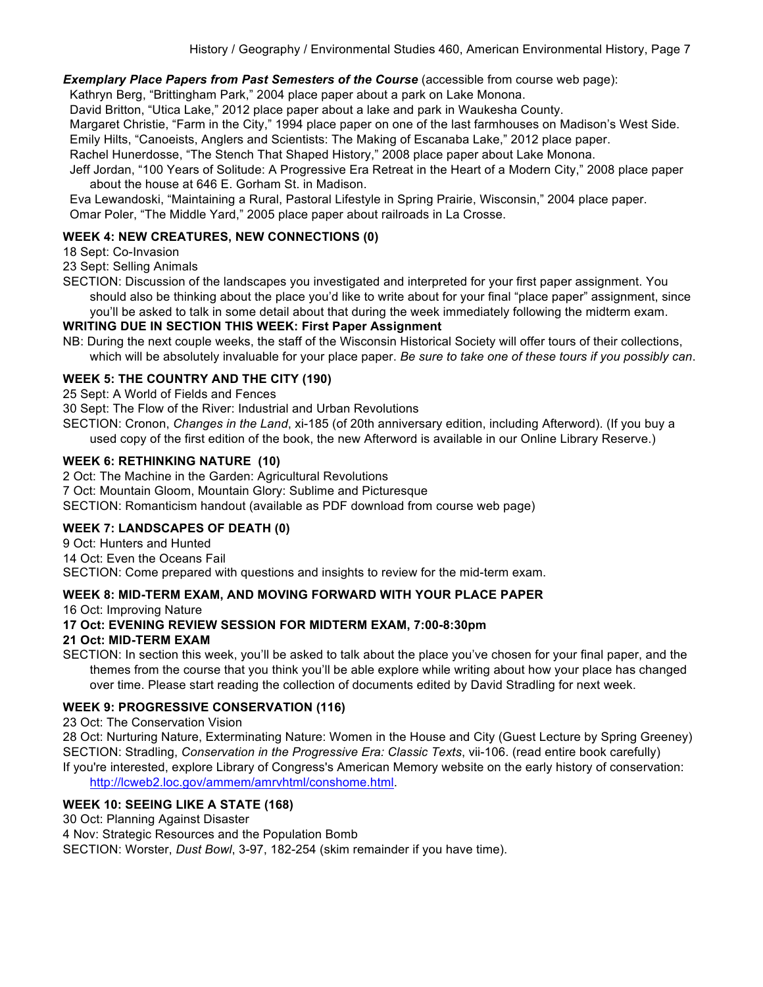**Exemplary Place Papers from Past Semesters of the Course** (accessible from course web page):

Kathryn Berg, "Brittingham Park," 2004 place paper about a park on Lake Monona.

David Britton, "Utica Lake," 2012 place paper about a lake and park in Waukesha County.

Margaret Christie, "Farm in the City," 1994 place paper on one of the last farmhouses on Madison's West Side.

Emily Hilts, "Canoeists, Anglers and Scientists: The Making of Escanaba Lake," 2012 place paper.

Rachel Hunerdosse, "The Stench That Shaped History," 2008 place paper about Lake Monona.

 Jeff Jordan, "100 Years of Solitude: A Progressive Era Retreat in the Heart of a Modern City," 2008 place paper about the house at 646 E. Gorham St. in Madison.

 Eva Lewandoski, "Maintaining a Rural, Pastoral Lifestyle in Spring Prairie, Wisconsin," 2004 place paper. Omar Poler, "The Middle Yard," 2005 place paper about railroads in La Crosse.

## **WEEK 4: NEW CREATURES, NEW CONNECTIONS (0)**

18 Sept: Co-Invasion

23 Sept: Selling Animals

SECTION: Discussion of the landscapes you investigated and interpreted for your first paper assignment. You should also be thinking about the place you'd like to write about for your final "place paper" assignment, since you'll be asked to talk in some detail about that during the week immediately following the midterm exam.

## **WRITING DUE IN SECTION THIS WEEK: First Paper Assignment**

NB: During the next couple weeks, the staff of the Wisconsin Historical Society will offer tours of their collections, which will be absolutely invaluable for your place paper. *Be sure to take one of these tours if you possibly can*.

## **WEEK 5: THE COUNTRY AND THE CITY (190)**

25 Sept: A World of Fields and Fences

30 Sept: The Flow of the River: Industrial and Urban Revolutions

SECTION: Cronon, *Changes in the Land*, xi-185 (of 20th anniversary edition, including Afterword). (If you buy a used copy of the first edition of the book, the new Afterword is available in our Online Library Reserve.)

## **WEEK 6: RETHINKING NATURE (10)**

2 Oct: The Machine in the Garden: Agricultural Revolutions

7 Oct: Mountain Gloom, Mountain Glory: Sublime and Picturesque

SECTION: Romanticism handout (available as PDF download from course web page)

## **WEEK 7: LANDSCAPES OF DEATH (0)**

9 Oct: Hunters and Hunted 14 Oct: Even the Oceans Fail SECTION: Come prepared with questions and insights to review for the mid-term exam.

## **WEEK 8: MID-TERM EXAM, AND MOVING FORWARD WITH YOUR PLACE PAPER**

16 Oct: Improving Nature

## **17 Oct: EVENING REVIEW SESSION FOR MIDTERM EXAM, 7:00-8:30pm**

## **21 Oct: MID-TERM EXAM**

SECTION: In section this week, you'll be asked to talk about the place you've chosen for your final paper, and the themes from the course that you think you'll be able explore while writing about how your place has changed over time. Please start reading the collection of documents edited by David Stradling for next week.

## **WEEK 9: PROGRESSIVE CONSERVATION (116)**

23 Oct: The Conservation Vision

28 Oct: Nurturing Nature, Exterminating Nature: Women in the House and City (Guest Lecture by Spring Greeney) SECTION: Stradling, *Conservation in the Progressive Era: Classic Texts*, vii-106. (read entire book carefully) If you're interested, explore Library of Congress's American Memory website on the early history of conservation: http://lcweb2.loc.gov/ammem/amrvhtml/conshome.html.

# **WEEK 10: SEEING LIKE A STATE (168)**

30 Oct: Planning Against Disaster

4 Nov: Strategic Resources and the Population Bomb

SECTION: Worster, *Dust Bowl*, 3-97, 182-254 (skim remainder if you have time).